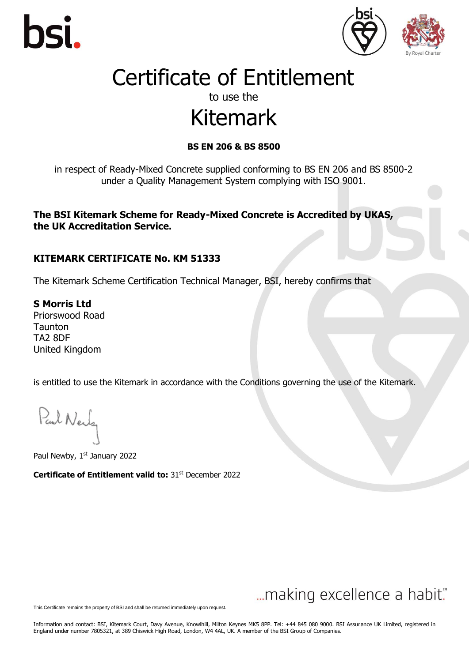





#### to use the

## Kitemark

#### **BS EN 206 & BS 8500**

in respect of Ready-Mixed Concrete supplied conforming to BS EN 206 and BS 8500-2 under a Quality Management System complying with ISO 9001.

**The BSI Kitemark Scheme for Ready-Mixed Concrete is Accredited by UKAS, the UK Accreditation Service.**

#### **KITEMARK CERTIFICATE No. KM 51333**

The Kitemark Scheme Certification Technical Manager, BSI, hereby confirms that

**S Morris Ltd** Priorswood Road Taunton TA2 8DF United Kingdom

is entitled to use the Kitemark in accordance with the Conditions governing the use of the Kitemark.

Paul Neuly

Paul Newby, 1st January 2022

**Certificate of Entitlement valid to: 31st December 2022** 

### ... making excellence a habit."

This Certificate remains the property of BSI and shall be returned immediately upon request.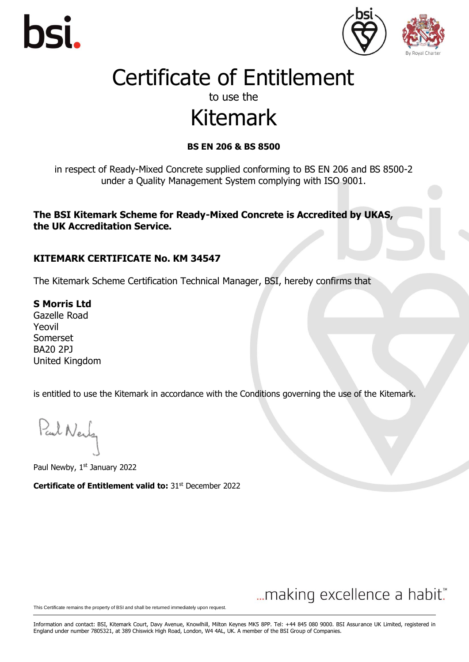





#### to use the

## Kitemark

#### **BS EN 206 & BS 8500**

in respect of Ready-Mixed Concrete supplied conforming to BS EN 206 and BS 8500-2 under a Quality Management System complying with ISO 9001.

**The BSI Kitemark Scheme for Ready-Mixed Concrete is Accredited by UKAS, the UK Accreditation Service.**

#### **KITEMARK CERTIFICATE No. KM 34547**

The Kitemark Scheme Certification Technical Manager, BSI, hereby confirms that

**S Morris Ltd** Gazelle Road Yeovil Somerset BA20 2PJ United Kingdom

is entitled to use the Kitemark in accordance with the Conditions governing the use of the Kitemark.

Paul Nerly

Paul Newby, 1st January 2022

**Certificate of Entitlement valid to: 31st December 2022** 

### ... making excellence a habit."

This Certificate remains the property of BSI and shall be returned immediately upon request.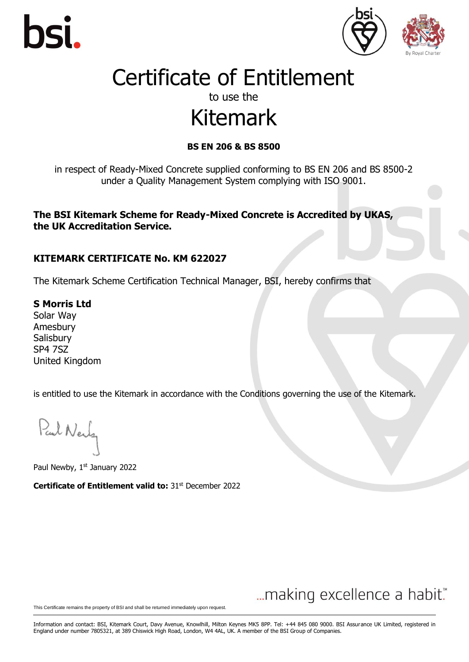





#### to use the

## Kitemark

#### **BS EN 206 & BS 8500**

in respect of Ready-Mixed Concrete supplied conforming to BS EN 206 and BS 8500-2 under a Quality Management System complying with ISO 9001.

**The BSI Kitemark Scheme for Ready-Mixed Concrete is Accredited by UKAS, the UK Accreditation Service.**

#### **KITEMARK CERTIFICATE No. KM 622027**

The Kitemark Scheme Certification Technical Manager, BSI, hereby confirms that

**S Morris Ltd** Solar Way

Amesbury **Salisbury** SP4 7SZ United Kingdom

is entitled to use the Kitemark in accordance with the Conditions governing the use of the Kitemark.

Paul Nerly

Paul Newby, 1st January 2022

**Certificate of Entitlement valid to: 31st December 2022** 

### ... making excellence a habit."

This Certificate remains the property of BSI and shall be returned immediately upon request.